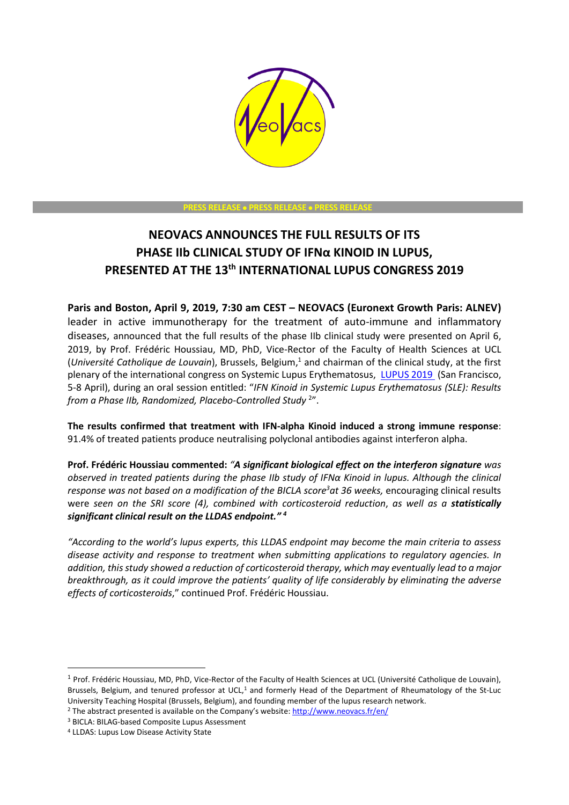

#### **PRESS RELEASE** • **PRESS RELEASE** • **PRESS RELEASE**

# **NEOVACS ANNOUNCES THE FULL RESULTS OF ITS PHASE IIb CLINICAL STUDY OF IFNα KINOID IN LUPUS, PRESENTED AT THE 13th INTERNATIONAL LUPUS CONGRESS 2019**

**Paris and Boston, April 9, 2019, 7:30 am CEST – NEOVACS (Euronext Growth Paris: ALNEV)**  leader in active immunotherapy for the treatment of auto-immune and inflammatory diseases, announced that the full results of the phase IIb clinical study were presented on April 6, 2019, by Prof. Frédéric Houssiau, MD, PhD, Vice-Rector of the Faculty of Health Sciences at UCL (*Université Catholique de Louvain*), Brussels, Belgium, <sup>1</sup> and chairman of the clinical study, at the first plenary of the international congress on Systemic Lupus Erythematosus, [LUPUS 2019](http://lupus2019sf.org/) (San Francisco, 5-8 April), during an oral session entitled: "*IFN Kinoid in Systemic Lupus Erythematosus (SLE): Results from a Phase IIb, Randomized, Placebo-Controlled Study* <sup>2</sup> ".

**The results confirmed that treatment with IFN-alpha Kinoid induced a strong immune response**: 91.4% of treated patients produce neutralising polyclonal antibodies against interferon alpha.

**Prof. Frédéric Houssiau commented:** *"A significant biological effect on the interferon signature was observed in treated patients during the phase IIb study of IFNα Kinoid in lupus. Although the clinical response was not based on a modification of the BICLA score<sup>3</sup>at 36 weeks,* encouraging clinical results were *seen on the SRI score (4), combined with corticosteroid reduction*, *as well as a statistically significant clinical result on the LLDAS endpoint." <sup>4</sup>*

*"According to the world's lupus experts, this LLDAS endpoint may become the main criteria to assess disease activity and response to treatment when submitting applications to regulatory agencies. In addition, this study showed a reduction of corticosteroid therapy, which may eventually lead to a major breakthrough, as it could improve the patients' quality of life considerably by eliminating the adverse effects of corticosteroids*," continued Prof. Frédéric Houssiau.

**.** 

<sup>&</sup>lt;sup>1</sup> Prof. Frédéric Houssiau, MD, PhD, Vice-Rector of the Faculty of Health Sciences at UCL (Université Catholique de Louvain), Brussels, Belgium, and tenured professor at UCL,<sup>1</sup> and formerly Head of the Department of Rheumatology of the St-Luc University Teaching Hospital (Brussels, Belgium), and founding member of the lupus research network.

<sup>2</sup> The abstract presented is available on the Company's website[: http://www.neovacs.fr/en/](http://www.neovacs.fr/en/)

<sup>3</sup> BICLA: BILAG-based Composite Lupus Assessment

<sup>4</sup> LLDAS: Lupus Low Disease Activity State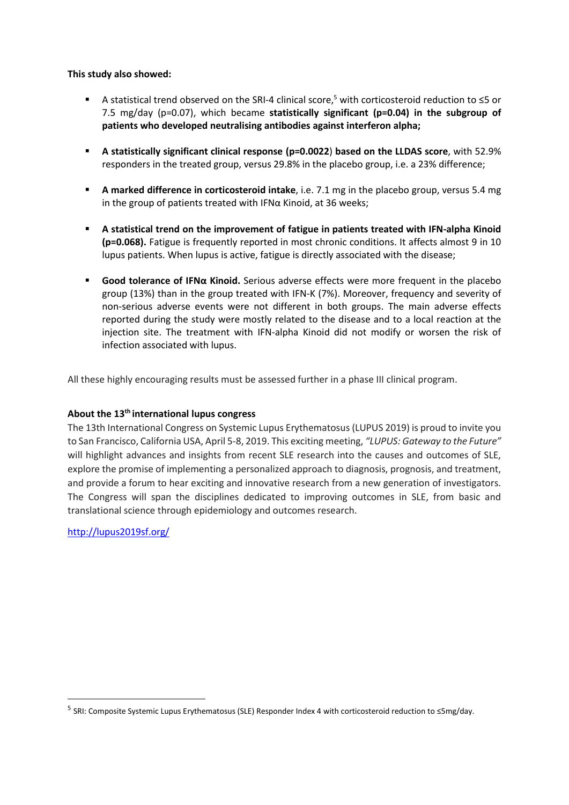# **This study also showed:**

- A statistical trend observed on the SRI-4 clinical score,<sup>5</sup> with corticosteroid reduction to  $\leq$ 5 or 7.5 mg/day (p=0.07), which became **statistically significant (p=0.04) in the subgroup of patients who developed neutralising antibodies against interferon alpha;**
- **A statistically significant clinical response (p=0.0022**) **based on the LLDAS score**, with 52.9% responders in the treated group, versus 29.8% in the placebo group, i.e. a 23% difference;
- **A marked difference in corticosteroid intake**, i.e. 7.1 mg in the placebo group, versus 5.4 mg in the group of patients treated with IFN $\alpha$  Kinoid, at 36 weeks;
- **A statistical trend on the improvement of fatigue in patients treated with IFN-alpha Kinoid (p=0.068).** Fatigue is frequently reported in most chronic conditions. It affects almost 9 in 10 lupus patients. When lupus is active, fatigue is directly associated with the disease;
- **Good tolerance of IFNα Kinoid.** Serious adverse effects were more frequent in the placebo group (13%) than in the group treated with IFN-K (7%). Moreover, frequency and severity of non-serious adverse events were not different in both groups. The main adverse effects reported during the study were mostly related to the disease and to a local reaction at the injection site. The treatment with IFN-alpha Kinoid did not modify or worsen the risk of infection associated with lupus.

All these highly encouraging results must be assessed further in a phase III clinical program.

# **About the 13th international lupus congress**

The 13th International Congress on Systemic Lupus Erythematosus (LUPUS 2019) is proud to invite you to San Francisco, California USA, April 5-8, 2019. This exciting meeting, *"LUPUS: Gateway to the Future"* will highlight advances and insights from recent SLE research into the causes and outcomes of SLE, explore the promise of implementing a personalized approach to diagnosis, prognosis, and treatment, and provide a forum to hear exciting and innovative research from a new generation of investigators. The Congress will span the disciplines dedicated to improving outcomes in SLE, from basic and translational science through epidemiology and outcomes research.

<http://lupus2019sf.org/>

**.** 

<sup>5</sup> SRI: Composite Systemic Lupus Erythematosus (SLE) Responder Index 4 with corticosteroid reduction to ≤5mg/day.